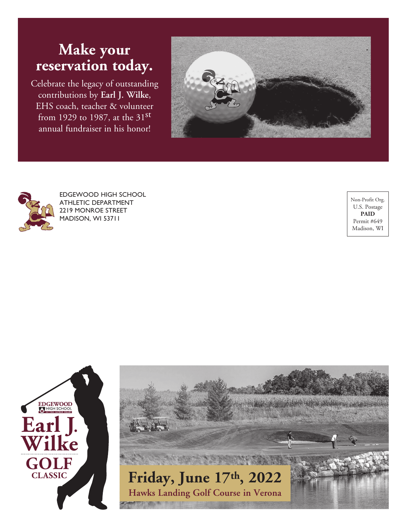# **Make your reservation today.**

Celebrate the legacy of outstanding contributions by **Earl J. Wilke**, EHS coach, teacher & volunteer from 1929 to 1987, at the  $31<sup>st</sup>$ annual fundraiser in his honor!





EDGEWOOD HIGH SCHOOL ATHLETIC DEPARTMENT 2219 MONROE STREET MADISON, WI 53711

Non-Profit Org. U.S. Postage **PAID** Permit #649 Madison, WI